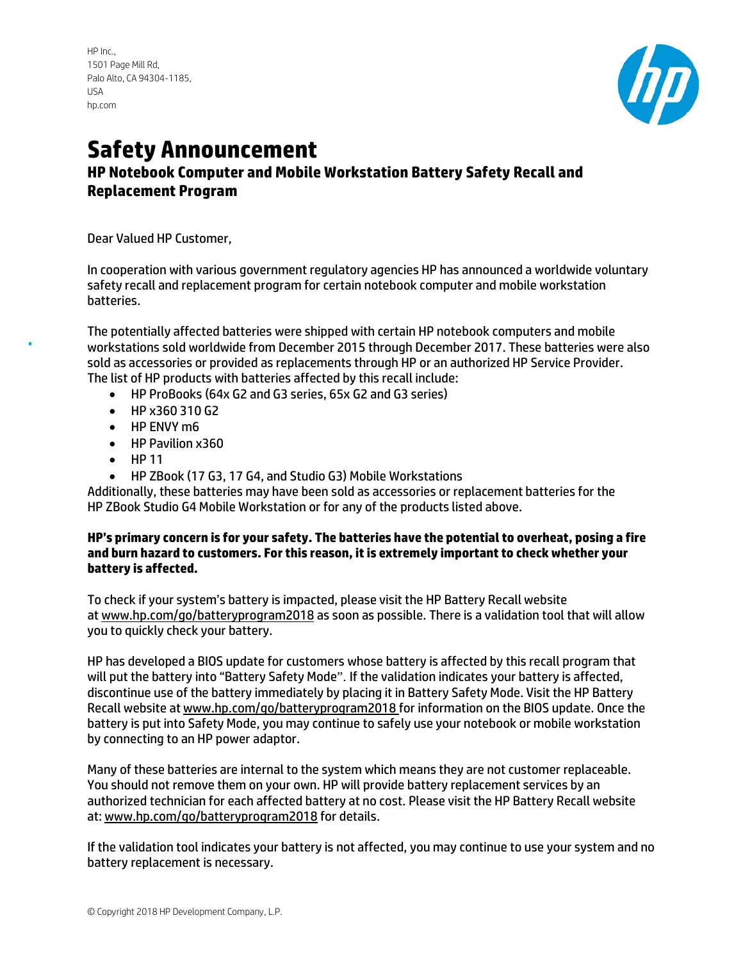HP Inc., 1501 Page Mill Rd, Palo Alto, CA 94304-1185, USA [hp.com](http://www.hp.com/)



## **Safety Announcement HP Notebook Computer and Mobile Workstation Battery Safety Recall and Replacement Program**

Dear Valued HP Customer,

In cooperation with various government regulatory agencies HP has announced a worldwide voluntary safety recall and replacement program for certain notebook computer and mobile workstation batteries.

The potentially affected batteries were shipped with certain HP notebook computers and mobile workstations sold worldwide from December 2015 through December 2017. These batteries were also sold as accessories or provided as replacements through HP or an authorized HP Service Provider. The list of HP products with batteries affected by this recall include:

- HP ProBooks (64x G2 and G3 series, 65x G2 and G3 series)
- HP x360 310 G2
- HP ENVY m6
- HP Pavilion x360
- HP 11
- HP ZBook (17 G3, 17 G4, and Studio G3) Mobile Workstations

Additionally, these batteries may have been sold as accessories or replacement batteries for the HP ZBook Studio G4 Mobile Workstation or for any of the products listed above.

## **HP's primary concern is for your safety. The batteries have the potential to overheat, posing a fire and burn hazard to customers. For this reason, it is extremely important to check whether your battery is affected.**

To check if your system's battery is impacted, please visit the HP Battery Recall website a[t www.hp.com/go/batteryprogram2018](https://batteryprogram687.ext.hp.com/en-us/) as soon as possible. There is a validation tool that will allow you to quickly check your battery.

HP has developed a BIOS update for customers whose battery is affected by this recall program that will put the battery into "Battery Safety Mode". If the validation indicates your battery is affected, discontinue use of the battery immediately by placing it in Battery Safety Mode. Visit the HP Battery Recall website at [www.hp.com/go/batteryprogram2018](https://batteryprogram687.ext.hp.com/en-us/) for information on the BIOS update. Once the battery is put into Safety Mode, you may continue to safely use your notebook or mobile workstation by connecting to an HP power adaptor.

Many of these batteries are internal to the system which means they are not customer replaceable. You should not remove them on your own. HP will provide battery replacement services by an authorized technician for each affected battery at no cost. Please visit the HP Battery Recall website at[: www.hp.com/go/batteryprogram2018](https://batteryprogram687.ext.hp.com/en-us/) for details.

If the validation tool indicates your battery is not affected, you may continue to use your system and no battery replacement is necessary.